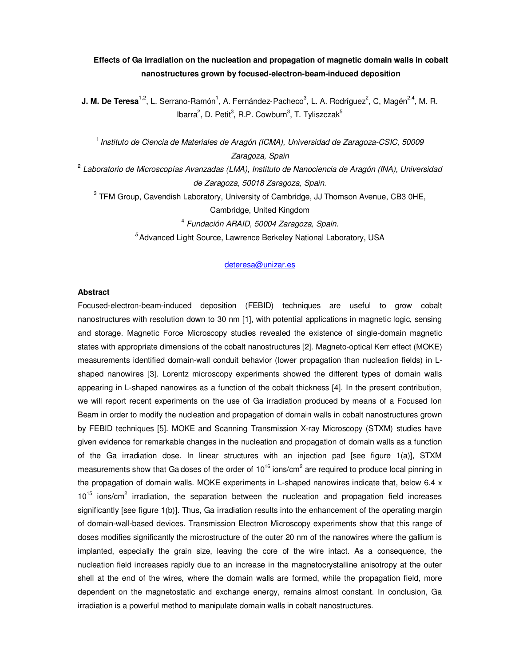# **Effects of Ga irradiation on the nucleation and propagation of magnetic domain walls in cobalt nanostructures grown by focused-electron-beam-induced deposition**

**J. M. De Teresa**<sup>1,2</sup>, L. Serrano-Ramón<sup>1</sup>, A. Fernández-Pacheco<sup>3</sup>, L. A. Rodríguez<sup>2</sup>, C, Magén<sup>2,4</sup>, M. R. lbarra<sup>2</sup>, D. Petit<sup>3</sup>, R.P. Cowburn<sup>3</sup>, T. Tyliszczak<sup>5</sup>

1 *Instituto de Ciencia de Materiales de Aragón (ICMA), Universidad de Zaragoza-CSIC, 50009 Zaragoza, Spain*

2  *Laboratorio de Microscopías Avanzadas (LMA), Instituto de Nanociencia de Aragón (INA), Universidad de Zaragoza, 50018 Zaragoza, Spain.* 

 $3$  TFM Group, Cavendish Laboratory, University of Cambridge, JJ Thomson Avenue, CB3 0HE, Cambridge, United Kingdom 4  *Fundación ARAID, 50004 Zaragoza, Spain.*

*5* Advanced Light Source, Lawrence Berkeley National Laboratory, USA

#### deteresa@unizar.es

### **Abstract**

Focused-electron-beam-induced deposition (FEBID) techniques are useful to grow cobalt nanostructures with resolution down to 30 nm [1], with potential applications in magnetic logic, sensing and storage. Magnetic Force Microscopy studies revealed the existence of single-domain magnetic states with appropriate dimensions of the cobalt nanostructures [2]. Magneto-optical Kerr effect (MOKE) measurements identified domain-wall conduit behavior (lower propagation than nucleation fields) in Lshaped nanowires [3]. Lorentz microscopy experiments showed the different types of domain walls appearing in L-shaped nanowires as a function of the cobalt thickness [4]. In the present contribution, we will report recent experiments on the use of Ga irradiation produced by means of a Focused Ion Beam in order to modify the nucleation and propagation of domain walls in cobalt nanostructures grown by FEBID techniques [5]. MOKE and Scanning Transmission X-ray Microscopy (STXM) studies have given evidence for remarkable changes in the nucleation and propagation of domain walls as a function of the Ga irradiation dose. In linear structures with an injection pad [see figure 1(a)], STXM measurements show that Ga doses of the order of 10<sup>16</sup> ions/cm<sup>2</sup> are required to produce local pinning in the propagation of domain walls. MOKE experiments in L-shaped nanowires indicate that, below 6.4 x  $10^{15}$  ions/cm<sup>2</sup> irradiation, the separation between the nucleation and propagation field increases significantly [see figure 1(b)]. Thus, Ga irradiation results into the enhancement of the operating margin of domain-wall-based devices. Transmission Electron Microscopy experiments show that this range of doses modifies significantly the microstructure of the outer 20 nm of the nanowires where the gallium is implanted, especially the grain size, leaving the core of the wire intact. As a consequence, the nucleation field increases rapidly due to an increase in the magnetocrystalline anisotropy at the outer shell at the end of the wires, where the domain walls are formed, while the propagation field, more dependent on the magnetostatic and exchange energy, remains almost constant. In conclusion, Ga irradiation is a powerful method to manipulate domain walls in cobalt nanostructures.